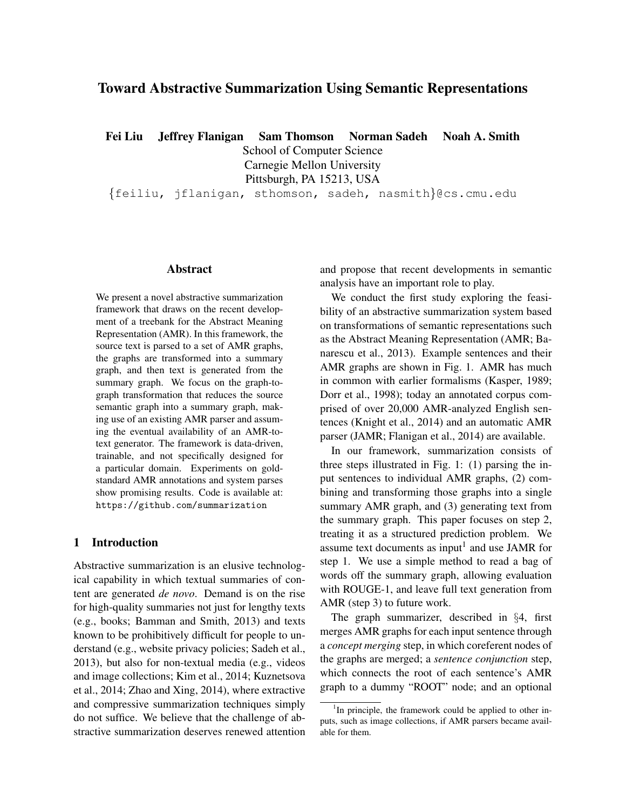# Toward Abstractive Summarization Using Semantic Representations

Fei Liu Jeffrey Flanigan Sam Thomson Norman Sadeh Noah A. Smith

School of Computer Science

Carnegie Mellon University

Pittsburgh, PA 15213, USA

{feiliu, jflanigan, sthomson, sadeh, nasmith}@cs.cmu.edu

## Abstract

We present a novel abstractive summarization framework that draws on the recent development of a treebank for the Abstract Meaning Representation (AMR). In this framework, the source text is parsed to a set of AMR graphs, the graphs are transformed into a summary graph, and then text is generated from the summary graph. We focus on the graph-tograph transformation that reduces the source semantic graph into a summary graph, making use of an existing AMR parser and assuming the eventual availability of an AMR-totext generator. The framework is data-driven, trainable, and not specifically designed for a particular domain. Experiments on goldstandard AMR annotations and system parses show promising results. Code is available at: https://github.com/summarization

# 1 Introduction

Abstractive summarization is an elusive technological capability in which textual summaries of content are generated *de novo*. Demand is on the rise for high-quality summaries not just for lengthy texts (e.g., books; Bamman and Smith, 2013) and texts known to be prohibitively difficult for people to understand (e.g., website privacy policies; Sadeh et al., 2013), but also for non-textual media (e.g., videos and image collections; Kim et al., 2014; Kuznetsova et al., 2014; Zhao and Xing, 2014), where extractive and compressive summarization techniques simply do not suffice. We believe that the challenge of abstractive summarization deserves renewed attention and propose that recent developments in semantic analysis have an important role to play.

We conduct the first study exploring the feasibility of an abstractive summarization system based on transformations of semantic representations such as the Abstract Meaning Representation (AMR; Banarescu et al., 2013). Example sentences and their AMR graphs are shown in Fig. 1. AMR has much in common with earlier formalisms (Kasper, 1989; Dorr et al., 1998); today an annotated corpus comprised of over 20,000 AMR-analyzed English sentences (Knight et al., 2014) and an automatic AMR parser (JAMR; Flanigan et al., 2014) are available.

In our framework, summarization consists of three steps illustrated in Fig. 1: (1) parsing the input sentences to individual AMR graphs, (2) combining and transforming those graphs into a single summary AMR graph, and (3) generating text from the summary graph. This paper focuses on step 2, treating it as a structured prediction problem. We assume text documents as input<sup>1</sup> and use JAMR for step 1. We use a simple method to read a bag of words off the summary graph, allowing evaluation with ROUGE-1, and leave full text generation from AMR (step 3) to future work.

The graph summarizer, described in §4, first merges AMR graphs for each input sentence through a *concept merging* step, in which coreferent nodes of the graphs are merged; a *sentence conjunction* step, which connects the root of each sentence's AMR graph to a dummy "ROOT" node; and an optional

<sup>&</sup>lt;sup>1</sup>In principle, the framework could be applied to other inputs, such as image collections, if AMR parsers became available for them.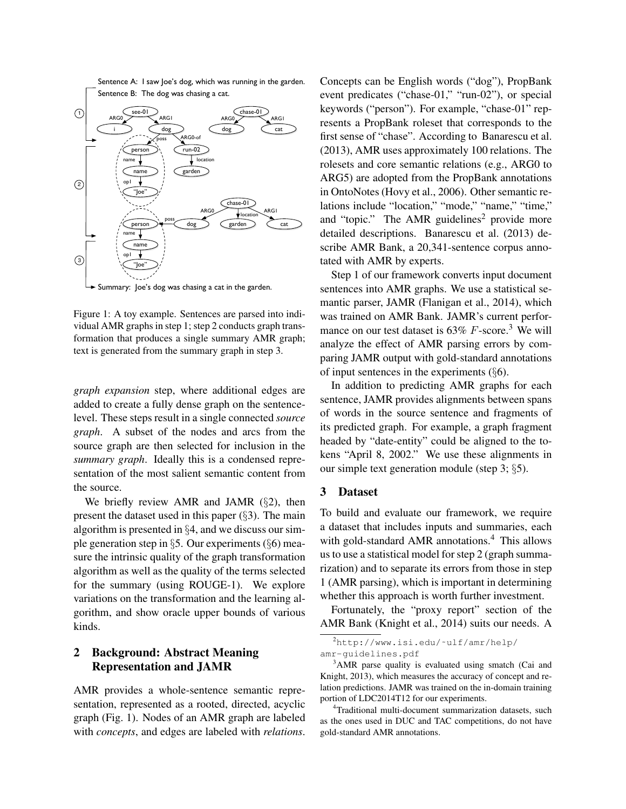Sentence A: I saw Joe's dog, which was running in the garden. Sentence B: The dog was chasing a cat.



Summary: Joe's dog was chasing a cat in the garden.

Figure 1: A toy example. Sentences are parsed into individual AMR graphs in step 1; step 2 conducts graph transformation that produces a single summary AMR graph; text is generated from the summary graph in step 3.

*graph expansion* step, where additional edges are added to create a fully dense graph on the sentencelevel. These steps result in a single connected *source graph*. A subset of the nodes and arcs from the source graph are then selected for inclusion in the *summary graph*. Ideally this is a condensed representation of the most salient semantic content from the source.

We briefly review AMR and JAMR  $(\S2)$ , then present the dataset used in this paper (§3). The main algorithm is presented in §4, and we discuss our simple generation step in §5. Our experiments (§6) measure the intrinsic quality of the graph transformation algorithm as well as the quality of the terms selected for the summary (using ROUGE-1). We explore variations on the transformation and the learning algorithm, and show oracle upper bounds of various kinds.

# 2 Background: Abstract Meaning Representation and JAMR

AMR provides a whole-sentence semantic representation, represented as a rooted, directed, acyclic graph (Fig. 1). Nodes of an AMR graph are labeled with *concepts*, and edges are labeled with *relations*. Concepts can be English words ("dog"), PropBank event predicates ("chase-01," "run-02"), or special keywords ("person"). For example, "chase-01" represents a PropBank roleset that corresponds to the first sense of "chase". According to Banarescu et al. (2013), AMR uses approximately 100 relations. The rolesets and core semantic relations (e.g., ARG0 to ARG5) are adopted from the PropBank annotations in OntoNotes (Hovy et al., 2006). Other semantic relations include "location," "mode," "name," "time," and "topic." The AMR guidelines<sup>2</sup> provide more detailed descriptions. Banarescu et al. (2013) describe AMR Bank, a 20,341-sentence corpus annotated with AMR by experts.

Step 1 of our framework converts input document sentences into AMR graphs. We use a statistical semantic parser, JAMR (Flanigan et al., 2014), which was trained on AMR Bank. JAMR's current performance on our test dataset is  $63\%$  F-score.<sup>3</sup> We will analyze the effect of AMR parsing errors by comparing JAMR output with gold-standard annotations of input sentences in the experiments  $(\S6)$ .

In addition to predicting AMR graphs for each sentence, JAMR provides alignments between spans of words in the source sentence and fragments of its predicted graph. For example, a graph fragment headed by "date-entity" could be aligned to the tokens "April 8, 2002." We use these alignments in our simple text generation module (step 3; §5).

## 3 Dataset

To build and evaluate our framework, we require a dataset that includes inputs and summaries, each with gold-standard AMR annotations.<sup>4</sup> This allows us to use a statistical model for step 2 (graph summarization) and to separate its errors from those in step 1 (AMR parsing), which is important in determining whether this approach is worth further investment.

Fortunately, the "proxy report" section of the AMR Bank (Knight et al., 2014) suits our needs. A

<sup>2</sup>http://www.isi.edu/˜ulf/amr/help/ amr-guidelines.pdf

<sup>&</sup>lt;sup>3</sup>AMR parse quality is evaluated using smatch (Cai and Knight, 2013), which measures the accuracy of concept and relation predictions. JAMR was trained on the in-domain training portion of LDC2014T12 for our experiments.

<sup>&</sup>lt;sup>4</sup>Traditional multi-document summarization datasets, such as the ones used in DUC and TAC competitions, do not have gold-standard AMR annotations.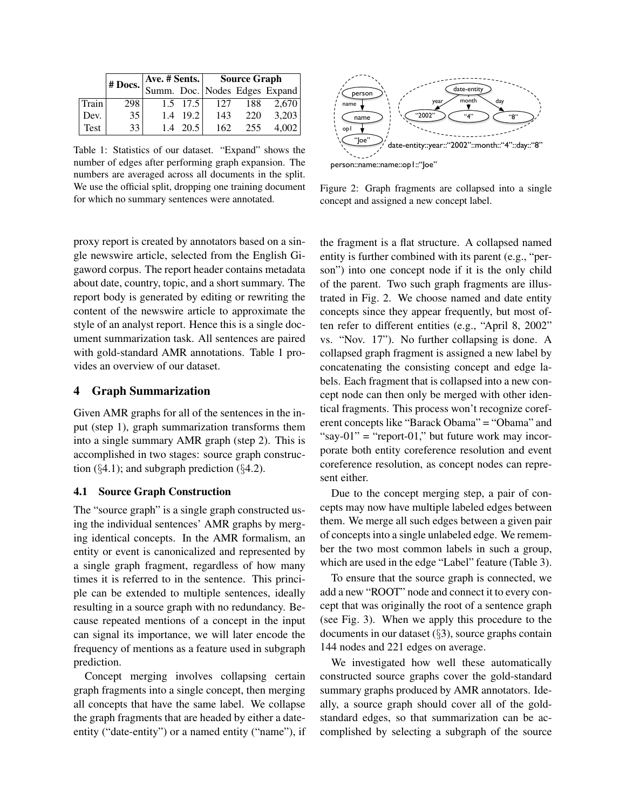|       |                 |     |            | Ave. # Sents. Source Graph<br>$\vert$ # Docs. Summ. Doc. Nodes Edges Expand |     |       |  |
|-------|-----------------|-----|------------|-----------------------------------------------------------------------------|-----|-------|--|
|       |                 |     |            |                                                                             |     |       |  |
| Train | 298             |     | $1.5$ 17.5 | 127                                                                         | 188 | 2.670 |  |
| Dev.  | 35 <sup>1</sup> | 1.4 | 19.2       | 143                                                                         | 220 | 3,203 |  |
| Test  | 33              | 1.4 | 20.5       | 162                                                                         | 255 | 4,002 |  |

Table 1: Statistics of our dataset. "Expand" shows the number of edges after performing graph expansion. The numbers are averaged across all documents in the split. We use the official split, dropping one training document for which no summary sentences were annotated.

proxy report is created by annotators based on a single newswire article, selected from the English Gigaword corpus. The report header contains metadata about date, country, topic, and a short summary. The report body is generated by editing or rewriting the content of the newswire article to approximate the style of an analyst report. Hence this is a single document summarization task. All sentences are paired with gold-standard AMR annotations. Table 1 provides an overview of our dataset.

# 4 Graph Summarization

Given AMR graphs for all of the sentences in the input (step 1), graph summarization transforms them into a single summary AMR graph (step 2). This is accomplished in two stages: source graph construction  $(\S 4.1)$ ; and subgraph prediction  $(\S 4.2)$ .

## 4.1 Source Graph Construction

The "source graph" is a single graph constructed using the individual sentences' AMR graphs by merging identical concepts. In the AMR formalism, an entity or event is canonicalized and represented by a single graph fragment, regardless of how many times it is referred to in the sentence. This principle can be extended to multiple sentences, ideally resulting in a source graph with no redundancy. Because repeated mentions of a concept in the input can signal its importance, we will later encode the frequency of mentions as a feature used in subgraph prediction.

Concept merging involves collapsing certain graph fragments into a single concept, then merging all concepts that have the same label. We collapse the graph fragments that are headed by either a dateentity ("date-entity") or a named entity ("name"), if



Figure 2: Graph fragments are collapsed into a single concept and assigned a new concept label.

the fragment is a flat structure. A collapsed named entity is further combined with its parent (e.g., "person") into one concept node if it is the only child of the parent. Two such graph fragments are illustrated in Fig. 2. We choose named and date entity concepts since they appear frequently, but most often refer to different entities (e.g., "April 8, 2002" vs. "Nov. 17"). No further collapsing is done. A collapsed graph fragment is assigned a new label by concatenating the consisting concept and edge labels. Each fragment that is collapsed into a new concept node can then only be merged with other identical fragments. This process won't recognize coreferent concepts like "Barack Obama" = "Obama" and "say-01" = "report-01," but future work may incorporate both entity coreference resolution and event coreference resolution, as concept nodes can represent either.

Due to the concept merging step, a pair of concepts may now have multiple labeled edges between them. We merge all such edges between a given pair of concepts into a single unlabeled edge. We remember the two most common labels in such a group, which are used in the edge "Label" feature (Table 3).

To ensure that the source graph is connected, we add a new "ROOT" node and connect it to every concept that was originally the root of a sentence graph (see Fig. 3). When we apply this procedure to the documents in our dataset (§3), source graphs contain 144 nodes and 221 edges on average.

We investigated how well these automatically constructed source graphs cover the gold-standard summary graphs produced by AMR annotators. Ideally, a source graph should cover all of the goldstandard edges, so that summarization can be accomplished by selecting a subgraph of the source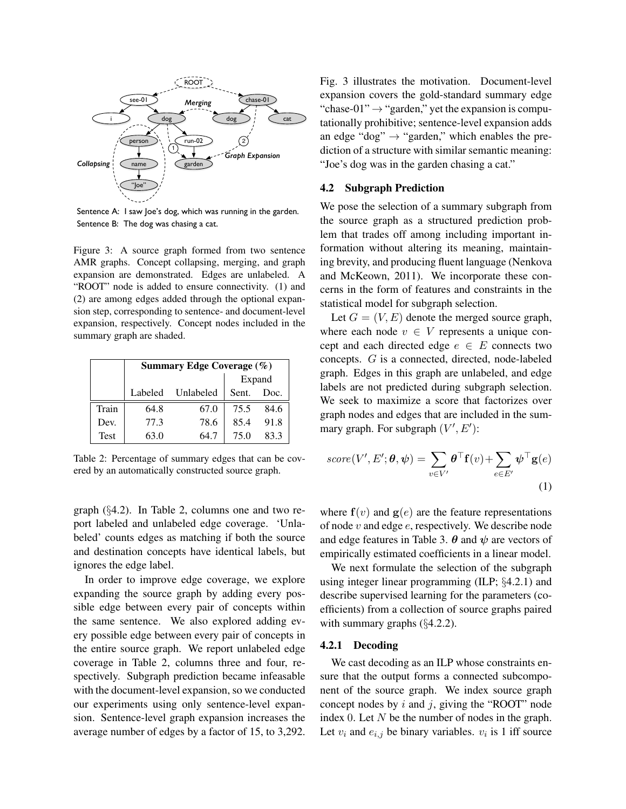

Sentence A: I saw Joe's dog, which was running in the garden. Sentence B: The dog was chasing a cat.

Figure 3: A source graph formed from two sentence AMR graphs. Concept collapsing, merging, and graph expansion are demonstrated. Edges are unlabeled. A "ROOT" node is added to ensure connectivity. (1) and (2) are among edges added through the optional expansion step, corresponding to sentence- and document-level expansion, respectively. Concept nodes included in the summary graph are shaded.

|             | Summary Edge Coverage (%) |           |        |      |  |  |
|-------------|---------------------------|-----------|--------|------|--|--|
|             |                           |           | Expand |      |  |  |
|             | Labeled                   | Unlabeled | Sent.  | Doc. |  |  |
| Train       | 64.8                      | 67.0      | 75.5   | 84.6 |  |  |
| Dev.        | 77.3                      | 78.6      | 85.4   | 91.8 |  |  |
| <b>Test</b> | 63.0                      | 64.7      | 75.0   | 83.3 |  |  |

Table 2: Percentage of summary edges that can be covered by an automatically constructed source graph.

graph (§4.2). In Table 2, columns one and two report labeled and unlabeled edge coverage. 'Unlabeled' counts edges as matching if both the source and destination concepts have identical labels, but ignores the edge label.

In order to improve edge coverage, we explore expanding the source graph by adding every possible edge between every pair of concepts within the same sentence. We also explored adding every possible edge between every pair of concepts in the entire source graph. We report unlabeled edge coverage in Table 2, columns three and four, respectively. Subgraph prediction became infeasable with the document-level expansion, so we conducted our experiments using only sentence-level expansion. Sentence-level graph expansion increases the average number of edges by a factor of 15, to 3,292.

Fig. 3 illustrates the motivation. Document-level expansion covers the gold-standard summary edge "chase-01"  $\rightarrow$  "garden," yet the expansion is computationally prohibitive; sentence-level expansion adds an edge "dog"  $\rightarrow$  "garden," which enables the prediction of a structure with similar semantic meaning: "Joe's dog was in the garden chasing a cat."

### 4.2 Subgraph Prediction

We pose the selection of a summary subgraph from the source graph as a structured prediction problem that trades off among including important information without altering its meaning, maintaining brevity, and producing fluent language (Nenkova and McKeown, 2011). We incorporate these concerns in the form of features and constraints in the statistical model for subgraph selection.

Let  $G = (V, E)$  denote the merged source graph, where each node  $v \in V$  represents a unique concept and each directed edge  $e \in E$  connects two concepts. G is a connected, directed, node-labeled graph. Edges in this graph are unlabeled, and edge labels are not predicted during subgraph selection. We seek to maximize a score that factorizes over graph nodes and edges that are included in the summary graph. For subgraph  $(V', E')$ :

$$
score(V', E'; \theta, \psi) = \sum_{v \in V'} \theta^{\top} f(v) + \sum_{e \in E'} \psi^{\top} g(e)
$$
\n(1)

where  $f(v)$  and  $g(e)$  are the feature representations of node  $v$  and edge  $e$ , respectively. We describe node and edge features in Table 3.  $\theta$  and  $\psi$  are vectors of empirically estimated coefficients in a linear model.

We next formulate the selection of the subgraph using integer linear programming (ILP; §4.2.1) and describe supervised learning for the parameters (coefficients) from a collection of source graphs paired with summary graphs (§4.2.2).

## 4.2.1 Decoding

We cast decoding as an ILP whose constraints ensure that the output forms a connected subcomponent of the source graph. We index source graph concept nodes by  $i$  and  $j$ , giving the "ROOT" node index 0. Let  $N$  be the number of nodes in the graph. Let  $v_i$  and  $e_{i,j}$  be binary variables.  $v_i$  is 1 iff source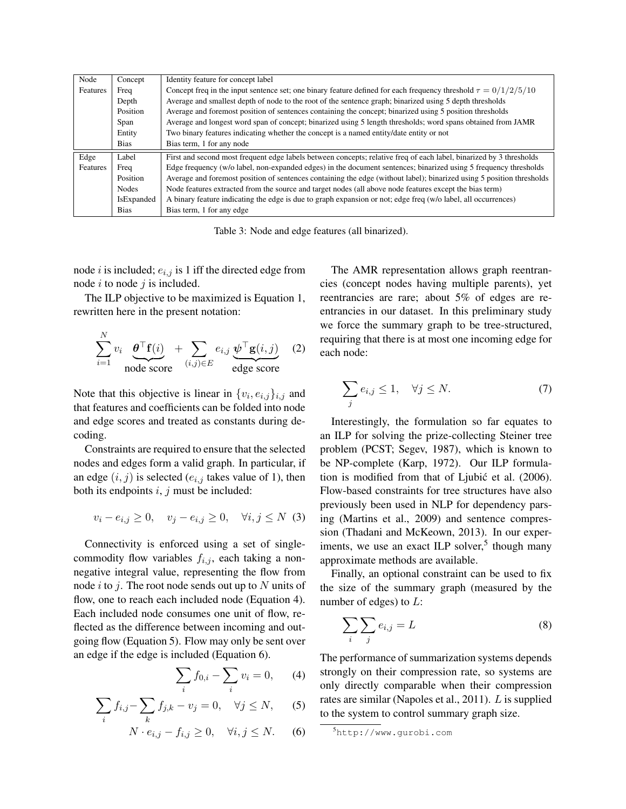| Node     | Concept     | Identity feature for concept label                                                                                    |
|----------|-------------|-----------------------------------------------------------------------------------------------------------------------|
| Features | Freq        | Concept freq in the input sentence set; one binary feature defined for each frequency threshold $\tau = 0/1/2/5/10$   |
|          | Depth       | Average and smallest depth of node to the root of the sentence graph; binarized using 5 depth thresholds              |
|          | Position    | Average and foremost position of sentences containing the concept; binarized using 5 position thresholds              |
|          | Span        | Average and longest word span of concept; binarized using 5 length thresholds; word spans obtained from JAMR          |
|          | Entity      | Two binary features indicating whether the concept is a named entity/date entity or not                               |
|          | <b>Bias</b> | Bias term, 1 for any node                                                                                             |
| Edge     | Label       | First and second most frequent edge labels between concepts; relative freq of each label, binarized by 3 thresholds   |
| Features | Freq        | Edge frequency (w/o label, non-expanded edges) in the document sentences; binarized using 5 frequency thresholds      |
|          | Position    | Average and foremost position of sentences containing the edge (without label); binarized using 5 position thresholds |
|          | Nodes       | Node features extracted from the source and target nodes (all above node features except the bias term)               |
|          | IsExpanded  | A binary feature indicating the edge is due to graph expansion or not; edge freq (w/o label, all occurrences)         |
|          | <b>Bias</b> | Bias term, 1 for any edge                                                                                             |

Table 3: Node and edge features (all binarized).

node *i* is included;  $e_{i,j}$  is 1 iff the directed edge from node  $i$  to node  $j$  is included.

The ILP objective to be maximized is Equation 1, rewritten here in the present notation:

$$
\sum_{i=1}^{N} v_i \underbrace{\theta^{\top} \mathbf{f}(i)}_{\text{node score}} + \sum_{(i,j) \in E} e_{i,j} \underbrace{\psi^{\top} \mathbf{g}(i,j)}_{\text{edge score}} \quad (2)
$$

Note that this objective is linear in  $\{v_i, e_{i,j}\}_{i,j}$  and that features and coefficients can be folded into node and edge scores and treated as constants during decoding.

Constraints are required to ensure that the selected nodes and edges form a valid graph. In particular, if an edge  $(i, j)$  is selected  $(e_{i,j}$  takes value of 1), then both its endpoints  $i, j$  must be included:

$$
v_i - e_{i,j} \ge 0
$$
,  $v_j - e_{i,j} \ge 0$ ,  $\forall i, j \le N$  (3)

Connectivity is enforced using a set of singlecommodity flow variables  $f_{i,j}$ , each taking a nonnegative integral value, representing the flow from node i to j. The root node sends out up to N units of flow, one to reach each included node (Equation 4). Each included node consumes one unit of flow, reflected as the difference between incoming and outgoing flow (Equation 5). Flow may only be sent over an edge if the edge is included (Equation 6).

$$
\sum_{i} f_{0,i} - \sum_{i} v_i = 0, \qquad (4)
$$

$$
\sum_{i} f_{i,j} - \sum_{k} f_{j,k} - v_j = 0, \quad \forall j \le N,
$$
 (5)

$$
N \cdot e_{i,j} - f_{i,j} \ge 0, \quad \forall i, j \le N. \tag{6}
$$

The AMR representation allows graph reentrancies (concept nodes having multiple parents), yet reentrancies are rare; about 5% of edges are reentrancies in our dataset. In this preliminary study we force the summary graph to be tree-structured, requiring that there is at most one incoming edge for each node:

$$
\sum_{j} e_{i,j} \le 1, \quad \forall j \le N. \tag{7}
$$

Interestingly, the formulation so far equates to an ILP for solving the prize-collecting Steiner tree problem (PCST; Segev, 1987), which is known to be NP-complete (Karp, 1972). Our ILP formulation is modified from that of Ljubić et al. (2006). Flow-based constraints for tree structures have also previously been used in NLP for dependency parsing (Martins et al., 2009) and sentence compression (Thadani and McKeown, 2013). In our experiments, we use an exact ILP solver,<sup>5</sup> though many approximate methods are available.

Finally, an optional constraint can be used to fix the size of the summary graph (measured by the number of edges) to  $L$ :

$$
\sum_{i} \sum_{j} e_{i,j} = L \tag{8}
$$

The performance of summarization systems depends strongly on their compression rate, so systems are only directly comparable when their compression rates are similar (Napoles et al., 2011). L is supplied to the system to control summary graph size.

<sup>5</sup>http://www.gurobi.com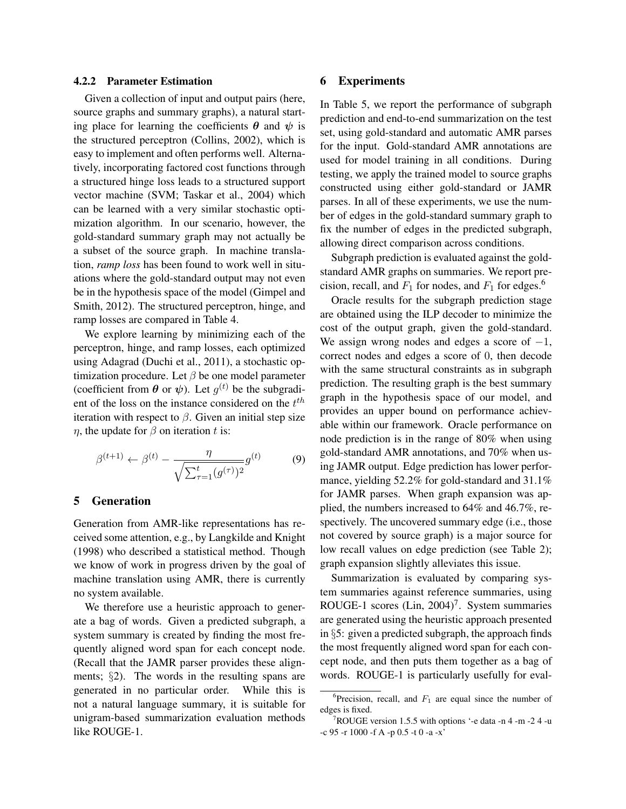### 4.2.2 Parameter Estimation

Given a collection of input and output pairs (here, source graphs and summary graphs), a natural starting place for learning the coefficients  $\theta$  and  $\psi$  is the structured perceptron (Collins, 2002), which is easy to implement and often performs well. Alternatively, incorporating factored cost functions through a structured hinge loss leads to a structured support vector machine (SVM; Taskar et al., 2004) which can be learned with a very similar stochastic optimization algorithm. In our scenario, however, the gold-standard summary graph may not actually be a subset of the source graph. In machine translation, *ramp loss* has been found to work well in situations where the gold-standard output may not even be in the hypothesis space of the model (Gimpel and Smith, 2012). The structured perceptron, hinge, and ramp losses are compared in Table 4.

We explore learning by minimizing each of the perceptron, hinge, and ramp losses, each optimized using Adagrad (Duchi et al., 2011), a stochastic optimization procedure. Let  $\beta$  be one model parameter (coefficient from  $\theta$  or  $\psi$ ). Let  $g^{(t)}$  be the subgradient of the loss on the instance considered on the  $t^{th}$ iteration with respect to  $\beta$ . Given an initial step size  $\eta$ , the update for  $\beta$  on iteration t is:

$$
\beta^{(t+1)} \leftarrow \beta^{(t)} - \frac{\eta}{\sqrt{\sum_{\tau=1}^t (g^{(\tau)})^2}} g^{(t)} \tag{9}
$$

#### 5 Generation

Generation from AMR-like representations has received some attention, e.g., by Langkilde and Knight (1998) who described a statistical method. Though we know of work in progress driven by the goal of machine translation using AMR, there is currently no system available.

We therefore use a heuristic approach to generate a bag of words. Given a predicted subgraph, a system summary is created by finding the most frequently aligned word span for each concept node. (Recall that the JAMR parser provides these alignments; §2). The words in the resulting spans are generated in no particular order. While this is not a natural language summary, it is suitable for unigram-based summarization evaluation methods like ROUGE-1.

### 6 Experiments

In Table 5, we report the performance of subgraph prediction and end-to-end summarization on the test set, using gold-standard and automatic AMR parses for the input. Gold-standard AMR annotations are used for model training in all conditions. During testing, we apply the trained model to source graphs constructed using either gold-standard or JAMR parses. In all of these experiments, we use the number of edges in the gold-standard summary graph to fix the number of edges in the predicted subgraph, allowing direct comparison across conditions.

Subgraph prediction is evaluated against the goldstandard AMR graphs on summaries. We report precision, recall, and  $F_1$  for nodes, and  $F_1$  for edges.<sup>6</sup>

Oracle results for the subgraph prediction stage are obtained using the ILP decoder to minimize the cost of the output graph, given the gold-standard. We assign wrong nodes and edges a score of  $-1$ , correct nodes and edges a score of 0, then decode with the same structural constraints as in subgraph prediction. The resulting graph is the best summary graph in the hypothesis space of our model, and provides an upper bound on performance achievable within our framework. Oracle performance on node prediction is in the range of 80% when using gold-standard AMR annotations, and 70% when using JAMR output. Edge prediction has lower performance, yielding 52.2% for gold-standard and 31.1% for JAMR parses. When graph expansion was applied, the numbers increased to 64% and 46.7%, respectively. The uncovered summary edge (i.e., those not covered by source graph) is a major source for low recall values on edge prediction (see Table 2); graph expansion slightly alleviates this issue.

Summarization is evaluated by comparing system summaries against reference summaries, using ROUGE-1 scores  $(Lin, 2004)^7$ . System summaries are generated using the heuristic approach presented in §5: given a predicted subgraph, the approach finds the most frequently aligned word span for each concept node, and then puts them together as a bag of words. ROUGE-1 is particularly usefully for eval-

<sup>&</sup>lt;sup>6</sup>Precision, recall, and  $F_1$  are equal since the number of edges is fixed.

 $7 \text{ROUGE version} 1.5.5 \text{ with options } -e$  data -n 4 -m -2 4 -u -c 95 -r 1000 -f A -p 0.5 -t 0 -a -x'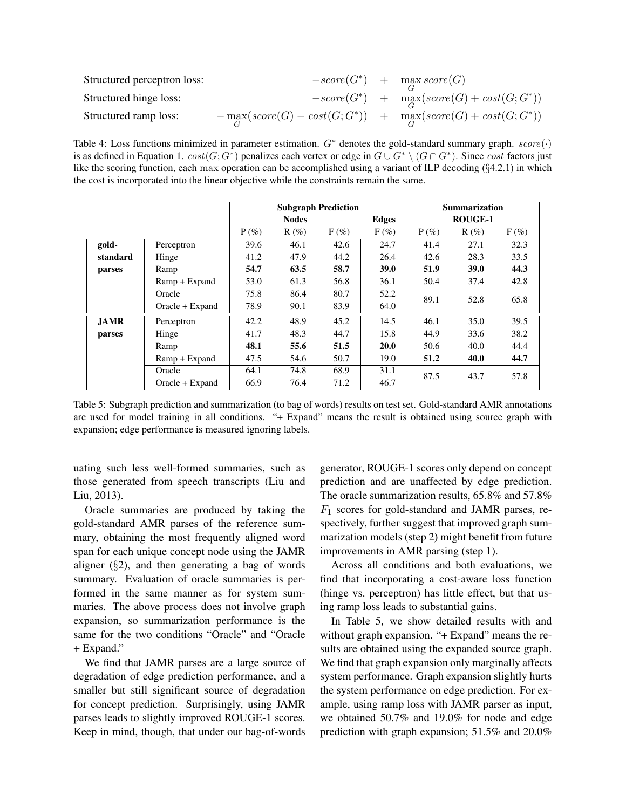| Structured perceptron loss: |                                                                                                                | $-score(G^*)$ + max score $(G)$                |
|-----------------------------|----------------------------------------------------------------------------------------------------------------|------------------------------------------------|
| Structured hinge loss:      |                                                                                                                | $-score(G^*)$ + $max(Gcore(G) + cost(G; G^*))$ |
| Structured ramp loss:       | $-\max_{G}(\mathit{score}(G) - \mathit{cost}(G; G^*))$ + $\max_{G}(\mathit{score}(G) + \mathit{cost}(G; G^*))$ |                                                |

Table 4: Loss functions minimized in parameter estimation.  $G^*$  denotes the gold-standard summary graph.  $score(\cdot)$ is as defined in Equation 1.  $cost(G; G^*)$  penalizes each vertex or edge in  $G \cup G^* \setminus (G \cap G^*)$ . Since  $cost$  factors just like the scoring function, each max operation can be accomplished using a variant of ILP decoding (§4.2.1) in which the cost is incorporated into the linear objective while the constraints remain the same.

|             |                   | <b>Subgraph Prediction</b> |         |         | <b>Summarization</b> |                |         |         |  |
|-------------|-------------------|----------------------------|---------|---------|----------------------|----------------|---------|---------|--|
|             |                   | <b>Nodes</b>               |         |         | Edges                | <b>ROUGE-1</b> |         |         |  |
|             |                   | $P(\%)$                    | $R(\%)$ | $F(\%)$ | $F(\%)$              | $P(\%)$        | $R(\%)$ | $F(\%)$ |  |
| gold-       | Perceptron        | 39.6                       | 46.1    | 42.6    | 24.7                 | 41.4           | 27.1    | 32.3    |  |
| standard    | Hinge             | 41.2                       | 47.9    | 44.2    | 26.4                 | 42.6           | 28.3    | 33.5    |  |
| parses      | Ramp              | 54.7                       | 63.5    | 58.7    | <b>39.0</b>          | 51.9           | 39.0    | 44.3    |  |
|             | Ramp + Expand     | 53.0                       | 61.3    | 56.8    | 36.1                 | 50.4           | 37.4    | 42.8    |  |
|             | Oracle            | 75.8                       | 86.4    | 80.7    | 52.2                 | 89.1           | 52.8    | 65.8    |  |
|             | $Oracle + Expand$ | 78.9                       | 90.1    | 83.9    | 64.0                 |                |         |         |  |
| <b>JAMR</b> | Perceptron        | 42.2                       | 48.9    | 45.2    | 14.5                 | 46.1           | 35.0    | 39.5    |  |
| parses      | Hinge             | 41.7                       | 48.3    | 44.7    | 15.8                 | 44.9           | 33.6    | 38.2    |  |
|             | Ramp              | 48.1                       | 55.6    | 51.5    | <b>20.0</b>          | 50.6           | 40.0    | 44.4    |  |
|             | Ramp + Expand     | 47.5                       | 54.6    | 50.7    | 19.0                 | 51.2           | 40.0    | 44.7    |  |
|             | Oracle            | 64.1                       | 74.8    | 68.9    | 31.1                 | 87.5           | 43.7    | 57.8    |  |
|             | $Oracle + Expand$ | 66.9                       | 76.4    | 71.2    | 46.7                 |                |         |         |  |

Table 5: Subgraph prediction and summarization (to bag of words) results on test set. Gold-standard AMR annotations are used for model training in all conditions. "+ Expand" means the result is obtained using source graph with expansion; edge performance is measured ignoring labels.

uating such less well-formed summaries, such as those generated from speech transcripts (Liu and Liu, 2013).

Oracle summaries are produced by taking the gold-standard AMR parses of the reference summary, obtaining the most frequently aligned word span for each unique concept node using the JAMR aligner  $(\S 2)$ , and then generating a bag of words summary. Evaluation of oracle summaries is performed in the same manner as for system summaries. The above process does not involve graph expansion, so summarization performance is the same for the two conditions "Oracle" and "Oracle + Expand."

We find that JAMR parses are a large source of degradation of edge prediction performance, and a smaller but still significant source of degradation for concept prediction. Surprisingly, using JAMR parses leads to slightly improved ROUGE-1 scores. Keep in mind, though, that under our bag-of-words

generator, ROUGE-1 scores only depend on concept prediction and are unaffected by edge prediction. The oracle summarization results, 65.8% and 57.8%  $F_1$  scores for gold-standard and JAMR parses, respectively, further suggest that improved graph summarization models (step 2) might benefit from future improvements in AMR parsing (step 1).

Across all conditions and both evaluations, we find that incorporating a cost-aware loss function (hinge vs. perceptron) has little effect, but that using ramp loss leads to substantial gains.

In Table 5, we show detailed results with and without graph expansion. "+ Expand" means the results are obtained using the expanded source graph. We find that graph expansion only marginally affects system performance. Graph expansion slightly hurts the system performance on edge prediction. For example, using ramp loss with JAMR parser as input, we obtained 50.7% and 19.0% for node and edge prediction with graph expansion; 51.5% and 20.0%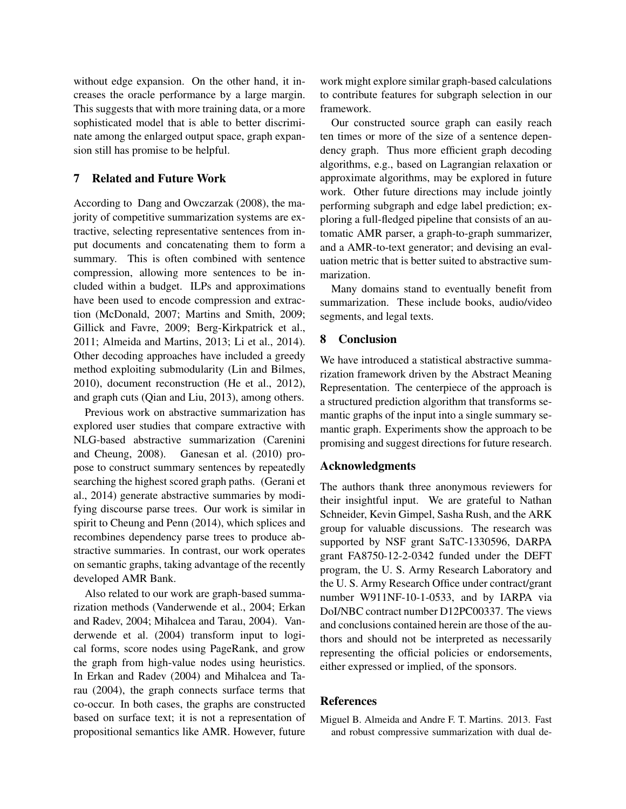without edge expansion. On the other hand, it increases the oracle performance by a large margin. This suggests that with more training data, or a more sophisticated model that is able to better discriminate among the enlarged output space, graph expansion still has promise to be helpful.

# 7 Related and Future Work

According to Dang and Owczarzak (2008), the majority of competitive summarization systems are extractive, selecting representative sentences from input documents and concatenating them to form a summary. This is often combined with sentence compression, allowing more sentences to be included within a budget. ILPs and approximations have been used to encode compression and extraction (McDonald, 2007; Martins and Smith, 2009; Gillick and Favre, 2009; Berg-Kirkpatrick et al., 2011; Almeida and Martins, 2013; Li et al., 2014). Other decoding approaches have included a greedy method exploiting submodularity (Lin and Bilmes, 2010), document reconstruction (He et al., 2012), and graph cuts (Qian and Liu, 2013), among others.

Previous work on abstractive summarization has explored user studies that compare extractive with NLG-based abstractive summarization (Carenini and Cheung, 2008). Ganesan et al. (2010) propose to construct summary sentences by repeatedly searching the highest scored graph paths. (Gerani et al., 2014) generate abstractive summaries by modifying discourse parse trees. Our work is similar in spirit to Cheung and Penn (2014), which splices and recombines dependency parse trees to produce abstractive summaries. In contrast, our work operates on semantic graphs, taking advantage of the recently developed AMR Bank.

Also related to our work are graph-based summarization methods (Vanderwende et al., 2004; Erkan and Radev, 2004; Mihalcea and Tarau, 2004). Vanderwende et al. (2004) transform input to logical forms, score nodes using PageRank, and grow the graph from high-value nodes using heuristics. In Erkan and Radev (2004) and Mihalcea and Tarau (2004), the graph connects surface terms that co-occur. In both cases, the graphs are constructed based on surface text; it is not a representation of propositional semantics like AMR. However, future work might explore similar graph-based calculations to contribute features for subgraph selection in our framework.

Our constructed source graph can easily reach ten times or more of the size of a sentence dependency graph. Thus more efficient graph decoding algorithms, e.g., based on Lagrangian relaxation or approximate algorithms, may be explored in future work. Other future directions may include jointly performing subgraph and edge label prediction; exploring a full-fledged pipeline that consists of an automatic AMR parser, a graph-to-graph summarizer, and a AMR-to-text generator; and devising an evaluation metric that is better suited to abstractive summarization.

Many domains stand to eventually benefit from summarization. These include books, audio/video segments, and legal texts.

# 8 Conclusion

We have introduced a statistical abstractive summarization framework driven by the Abstract Meaning Representation. The centerpiece of the approach is a structured prediction algorithm that transforms semantic graphs of the input into a single summary semantic graph. Experiments show the approach to be promising and suggest directions for future research.

#### Acknowledgments

The authors thank three anonymous reviewers for their insightful input. We are grateful to Nathan Schneider, Kevin Gimpel, Sasha Rush, and the ARK group for valuable discussions. The research was supported by NSF grant SaTC-1330596, DARPA grant FA8750-12-2-0342 funded under the DEFT program, the U. S. Army Research Laboratory and the U. S. Army Research Office under contract/grant number W911NF-10-1-0533, and by IARPA via DoI/NBC contract number D12PC00337. The views and conclusions contained herein are those of the authors and should not be interpreted as necessarily representing the official policies or endorsements, either expressed or implied, of the sponsors.

## **References**

Miguel B. Almeida and Andre F. T. Martins. 2013. Fast and robust compressive summarization with dual de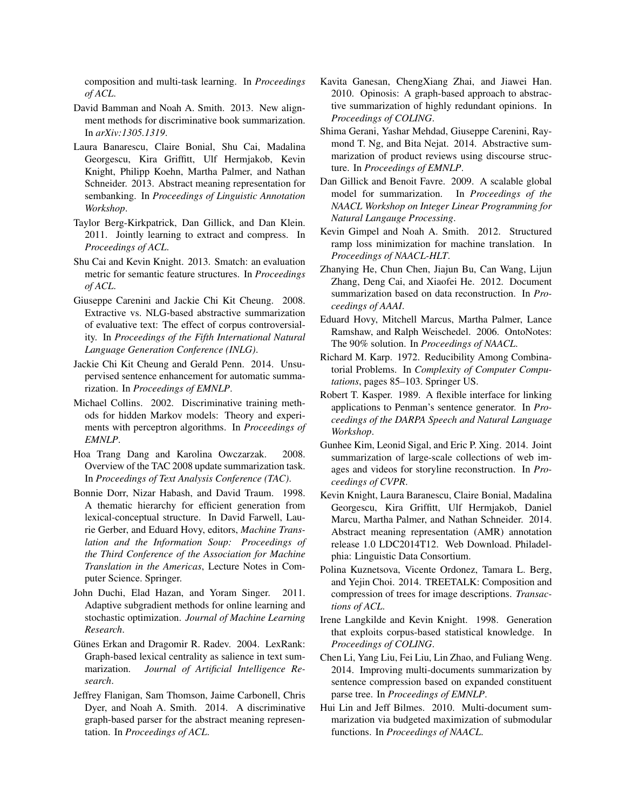composition and multi-task learning. In *Proceedings of ACL*.

- David Bamman and Noah A. Smith. 2013. New alignment methods for discriminative book summarization. In *arXiv:1305.1319*.
- Laura Banarescu, Claire Bonial, Shu Cai, Madalina Georgescu, Kira Griffitt, Ulf Hermjakob, Kevin Knight, Philipp Koehn, Martha Palmer, and Nathan Schneider. 2013. Abstract meaning representation for sembanking. In *Proceedings of Linguistic Annotation Workshop*.
- Taylor Berg-Kirkpatrick, Dan Gillick, and Dan Klein. 2011. Jointly learning to extract and compress. In *Proceedings of ACL*.
- Shu Cai and Kevin Knight. 2013. Smatch: an evaluation metric for semantic feature structures. In *Proceedings of ACL*.
- Giuseppe Carenini and Jackie Chi Kit Cheung. 2008. Extractive vs. NLG-based abstractive summarization of evaluative text: The effect of corpus controversiality. In *Proceedings of the Fifth International Natural Language Generation Conference (INLG)*.
- Jackie Chi Kit Cheung and Gerald Penn. 2014. Unsupervised sentence enhancement for automatic summarization. In *Proceedings of EMNLP*.
- Michael Collins. 2002. Discriminative training methods for hidden Markov models: Theory and experiments with perceptron algorithms. In *Proceedings of EMNLP*.
- Hoa Trang Dang and Karolina Owczarzak. 2008. Overview of the TAC 2008 update summarization task. In *Proceedings of Text Analysis Conference (TAC)*.
- Bonnie Dorr, Nizar Habash, and David Traum. 1998. A thematic hierarchy for efficient generation from lexical-conceptual structure. In David Farwell, Laurie Gerber, and Eduard Hovy, editors, *Machine Translation and the Information Soup: Proceedings of the Third Conference of the Association for Machine Translation in the Americas*, Lecture Notes in Computer Science. Springer.
- John Duchi, Elad Hazan, and Yoram Singer. 2011. Adaptive subgradient methods for online learning and stochastic optimization. *Journal of Machine Learning Research*.
- Günes Erkan and Dragomir R. Radev. 2004. LexRank: Graph-based lexical centrality as salience in text summarization. *Journal of Artificial Intelligence Research*.
- Jeffrey Flanigan, Sam Thomson, Jaime Carbonell, Chris Dyer, and Noah A. Smith. 2014. A discriminative graph-based parser for the abstract meaning representation. In *Proceedings of ACL*.
- Kavita Ganesan, ChengXiang Zhai, and Jiawei Han. 2010. Opinosis: A graph-based approach to abstractive summarization of highly redundant opinions. In *Proceedings of COLING*.
- Shima Gerani, Yashar Mehdad, Giuseppe Carenini, Raymond T. Ng, and Bita Nejat. 2014. Abstractive summarization of product reviews using discourse structure. In *Proceedings of EMNLP*.
- Dan Gillick and Benoit Favre. 2009. A scalable global model for summarization. In *Proceedings of the NAACL Workshop on Integer Linear Programming for Natural Langauge Processing*.
- Kevin Gimpel and Noah A. Smith. 2012. Structured ramp loss minimization for machine translation. In *Proceedings of NAACL-HLT*.
- Zhanying He, Chun Chen, Jiajun Bu, Can Wang, Lijun Zhang, Deng Cai, and Xiaofei He. 2012. Document summarization based on data reconstruction. In *Proceedings of AAAI*.
- Eduard Hovy, Mitchell Marcus, Martha Palmer, Lance Ramshaw, and Ralph Weischedel. 2006. OntoNotes: The 90% solution. In *Proceedings of NAACL*.
- Richard M. Karp. 1972. Reducibility Among Combinatorial Problems. In *Complexity of Computer Computations*, pages 85–103. Springer US.
- Robert T. Kasper. 1989. A flexible interface for linking applications to Penman's sentence generator. In *Proceedings of the DARPA Speech and Natural Language Workshop*.
- Gunhee Kim, Leonid Sigal, and Eric P. Xing. 2014. Joint summarization of large-scale collections of web images and videos for storyline reconstruction. In *Proceedings of CVPR*.
- Kevin Knight, Laura Baranescu, Claire Bonial, Madalina Georgescu, Kira Griffitt, Ulf Hermjakob, Daniel Marcu, Martha Palmer, and Nathan Schneider. 2014. Abstract meaning representation (AMR) annotation release 1.0 LDC2014T12. Web Download. Philadelphia: Linguistic Data Consortium.
- Polina Kuznetsova, Vicente Ordonez, Tamara L. Berg, and Yejin Choi. 2014. TREETALK: Composition and compression of trees for image descriptions. *Transactions of ACL*.
- Irene Langkilde and Kevin Knight. 1998. Generation that exploits corpus-based statistical knowledge. In *Proceedings of COLING*.
- Chen Li, Yang Liu, Fei Liu, Lin Zhao, and Fuliang Weng. 2014. Improving multi-documents summarization by sentence compression based on expanded constituent parse tree. In *Proceedings of EMNLP*.
- Hui Lin and Jeff Bilmes. 2010. Multi-document summarization via budgeted maximization of submodular functions. In *Proceedings of NAACL*.